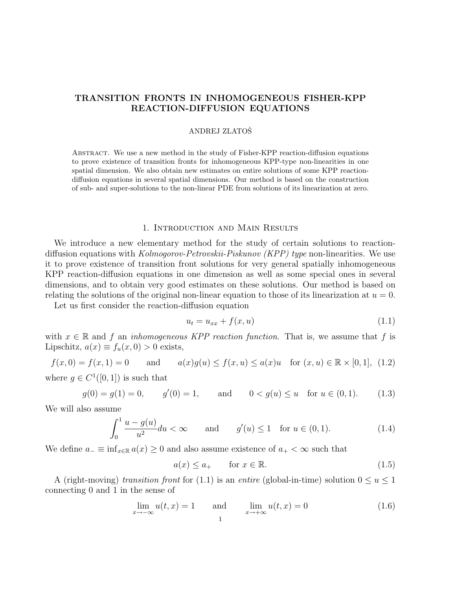# TRANSITION FRONTS IN INHOMOGENEOUS FISHER-KPP REACTION-DIFFUSION EQUATIONS

# ANDREJ ZLATOSˇ

Abstract. We use a new method in the study of Fisher-KPP reaction-diffusion equations to prove existence of transition fronts for inhomogeneous KPP-type non-linearities in one spatial dimension. We also obtain new estimates on entire solutions of some KPP reactiondiffusion equations in several spatial dimensions. Our method is based on the construction of sub- and super-solutions to the non-linear PDE from solutions of its linearization at zero.

#### 1. Introduction and Main Results

We introduce a new elementary method for the study of certain solutions to reactiondiffusion equations with *Kolmogorov-Petrovskii-Piskunov (KPP) type* non-linearities. We use it to prove existence of transition front solutions for very general spatially inhomogeneous KPP reaction-diffusion equations in one dimension as well as some special ones in several dimensions, and to obtain very good estimates on these solutions. Our method is based on relating the solutions of the original non-linear equation to those of its linearization at  $u = 0$ .

Let us first consider the reaction-diffusion equation

$$
u_t = u_{xx} + f(x, u) \tag{1.1}
$$

with  $x \in \mathbb{R}$  and f an *inhomogeneous KPP reaction function*. That is, we assume that f is Lipschitz,  $a(x) \equiv f_u(x, 0) > 0$  exists,

$$
f(x, 0) = f(x, 1) = 0
$$
 and  $a(x)g(u) \le f(x, u) \le a(x)u$  for  $(x, u) \in \mathbb{R} \times [0, 1]$ , (1.2)

where  $g \in C^1([0,1])$  is such that

$$
g(0) = g(1) = 0,
$$
  $g'(0) = 1,$  and  $0 < g(u) \le u$  for  $u \in (0, 1).$  (1.3)

We will also assume

$$
\int_0^1 \frac{u - g(u)}{u^2} du < \infty \qquad \text{and} \qquad g'(u) \le 1 \quad \text{for } u \in (0, 1). \tag{1.4}
$$

We define  $a_-\equiv \inf_{x\in\mathbb{R}} a(x)\geq 0$  and also assume existence of  $a_+<\infty$  such that

$$
a(x) \le a_+ \qquad \text{for } x \in \mathbb{R}.\tag{1.5}
$$

A (right-moving) transition front for (1.1) is an entire (global-in-time) solution  $0 \le u \le 1$ connecting 0 and 1 in the sense of

$$
\lim_{x \to -\infty} u(t, x) = 1 \qquad \text{and} \qquad \lim_{x \to +\infty} u(t, x) = 0 \tag{1.6}
$$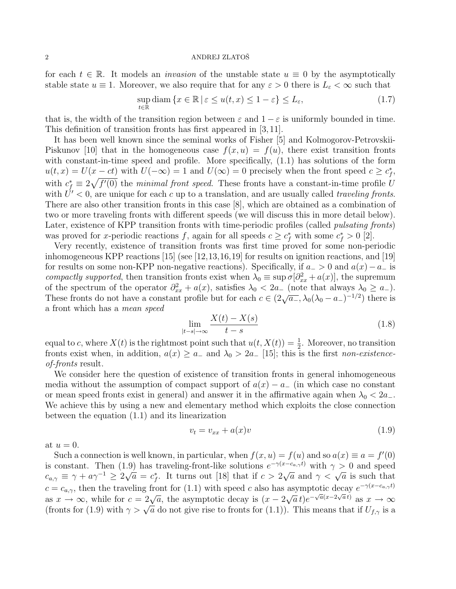for each  $t \in \mathbb{R}$ . It models an *invasion* of the unstable state  $u \equiv 0$  by the asymptotically stable state  $u \equiv 1$ . Moreover, we also require that for any  $\varepsilon > 0$  there is  $L_{\varepsilon} < \infty$  such that

$$
\sup_{t \in \mathbb{R}} \text{diam}\left\{x \in \mathbb{R} \,|\, \varepsilon \le u(t, x) \le 1 - \varepsilon\right\} \le L_{\varepsilon},\tag{1.7}
$$

that is, the width of the transition region between  $\varepsilon$  and  $1-\varepsilon$  is uniformly bounded in time. This definition of transition fronts has first appeared in [3, 11].

It has been well known since the seminal works of Fisher [5] and Kolmogorov-Petrovskii-Piskunov [10] that in the homogeneous case  $f(x, u) = f(u)$ , there exist transition fronts with constant-in-time speed and profile. More specifically, (1.1) has solutions of the form  $u(t,x) = U(x - ct)$  with  $U(-\infty) = 1$  and  $U(\infty) = 0$  precisely when the front speed  $c \geq c_f^*$ , with  $c_f^* \equiv 2\sqrt{f'(0)}$  the *minimal front speed*. These fronts have a constant-in-time profile U with  $\dot{U}' < 0$ , are unique for each c up to a translation, and are usually called *traveling fronts*. There are also other transition fronts in this case [8], which are obtained as a combination of two or more traveling fronts with different speeds (we will discuss this in more detail below). Later, existence of KPP transition fronts with time-periodic profiles (called *pulsating fronts*) was proved for x-periodic reactions f, again for all speeds  $c \geq c_f^*$  with some  $c_f^* > 0$  [2].

Very recently, existence of transition fronts was first time proved for some non-periodic inhomogeneous KPP reactions [15] (see [12,13,16,19] for results on ignition reactions, and [19] for results on some non-KPP non-negative reactions). Specifically, if  $a_{-} > 0$  and  $a(x) - a_{-}$  is compactly supported, then transition fronts exist when  $\lambda_0 \equiv \sup \sigma[\partial_{xx}^2 + a(x)]$ , the supremum of the spectrum of the operator  $\partial_{xx}^2 + a(x)$ , satisfies  $\lambda_0 < 2a_-$  (note that always  $\lambda_0 \ge a_-$ ). These fronts do not have a constant profile but for each  $c \in (2\sqrt{a_-}, \lambda_0(\lambda_0 - a_-)^{-1/2})$  there is a front which has a mean speed

$$
\lim_{|t-s| \to \infty} \frac{X(t) - X(s)}{t - s} \tag{1.8}
$$

equal to c, where  $X(t)$  is the rightmost point such that  $u(t, X(t)) = \frac{1}{2}$ . Moreover, no transition fronts exist when, in addition,  $a(x) \ge a_-$  and  $\lambda_0 > 2a_-$  [15]; this is the first non-existenceof-fronts result.

We consider here the question of existence of transition fronts in general inhomogeneous media without the assumption of compact support of  $a(x) - a_-\$  (in which case no constant or mean speed fronts exist in general) and answer it in the affirmative again when  $\lambda_0 < 2a_-\lambda$ . We achieve this by using a new and elementary method which exploits the close connection between the equation (1.1) and its linearization

$$
v_t = v_{xx} + a(x)v \tag{1.9}
$$

at  $u = 0$ .

Such a connection is well known, in particular, when  $f(x, u) = f(u)$  and so  $a(x) \equiv a = f'(0)$ is constant. Then (1.9) has traveling-front-like solutions  $e^{-\gamma(x-c_{a,\gamma}t)}$  with  $\gamma > 0$  and speed is constant. Then (1.9) has traveling-front-like solutions  $e^{-(\lambda + \alpha)/\gamma}$  with  $\gamma > 0$  and speed<br>  $c_{a,\gamma} \equiv \gamma + a\gamma^{-1} \ge 2\sqrt{a} = c_f^*$ . It turns out [18] that if  $c > 2\sqrt{a}$  and  $\gamma < \sqrt{a}$  is such that  $c = c_{a,\gamma}$ , then the traveling front for (1.1) with speed c also has asymptotic decay  $e^{-\gamma(x-c_{a,\gamma}t)}$  $c = c_{a,\gamma}$ , then the travelling from for (1.1) with speed c also has<br>as  $x \to \infty$ , while for  $c = 2\sqrt{a}$ , the asymptotic decay is  $(x - 2)$ √  $\overline{a} t e^{-\sqrt{a}(x-2\sqrt{a}t)}$  as  $x \to \infty$ (fronts for (1.9) with  $\gamma > \sqrt{a}$  do not give rise to fronts for (1.1)). This means that if  $U_{f,\gamma}$  is a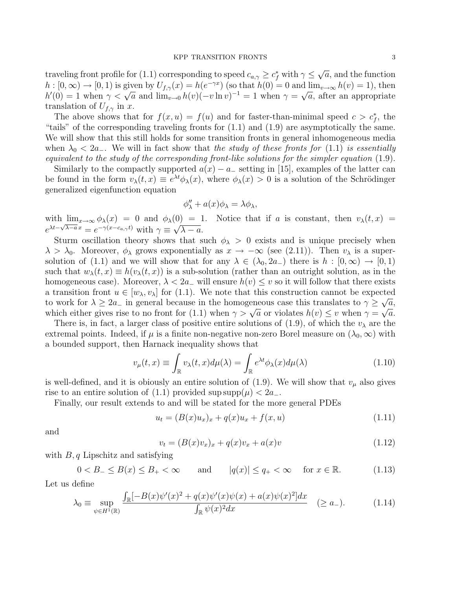traveling front profile for (1.1) corresponding to speed  $c_{a,\gamma} \geq c_f^*$  with  $\gamma \leq$ √  $\overline{a}$ , and the function  $h: [0, \infty) \to [0, 1)$  is given by  $U_{f,\gamma}(x) = h(e^{-\gamma x})$  (so that  $h(0) = 0$  and  $\lim_{v \to \infty} h(v) = 1$ ), then  $h: [0, \infty) \to [0, 1)$  is given by  $\psi_{f,\gamma}(x) = h(e^{-\gamma x})$  (so that  $h(0) = 0$  and  $\lim_{v \to \infty} h(v) = 1$ ), then  $h'(0) = 1$  when  $\gamma < \sqrt{a}$  and  $\lim_{v \to 0} h(v)(-v \ln v)^{-1} = 1$  when  $\gamma = \sqrt{a}$ , after an appropriate translation of  $U_{f,\gamma}$  in x.

The above shows that for  $f(x, u) = f(u)$  and for faster-than-minimal speed  $c > c_f^*$ , the "tails" of the corresponding traveling fronts for (1.1) and (1.9) are asymptotically the same. We will show that this still holds for some transition fronts in general inhomogeneous media when  $\lambda_0 < 2a_$ . We will in fact show that the study of these fronts for (1.1) is essentially equivalent to the study of the corresponding front-like solutions for the simpler equation (1.9).

Similarly to the compactly supported  $a(x) - a_+$  setting in [15], examples of the latter can be found in the form  $v_{\lambda}(t,x) \equiv e^{\lambda t} \phi_{\lambda}(x)$ , where  $\phi_{\lambda}(x) > 0$  is a solution of the Schrödinger generalized eigenfunction equation

$$
\phi''_{\lambda} + a(x)\phi_{\lambda} = \lambda \phi_{\lambda},
$$

with  $\lim_{x\to\infty} \phi_\lambda(x) = 0$  and  $\phi_\lambda(0) = 1$ . Notice that if a is constant, then  $v_\lambda(t, x) =$  $e^{\lambda t - \sqrt{\lambda - a}x} = e^{-\gamma(x - c_{a}, \gamma t)}$  with  $\gamma \equiv \sqrt{\lambda - a}$ .

Sturm oscillation theory shows that such  $\phi_{\lambda} > 0$  exists and is unique precisely when  $\lambda > \lambda_0$ . Moreover,  $\phi_{\lambda}$  grows exponentially as  $x \to -\infty$  (see (2.11)). Then  $v_{\lambda}$  is a supersolution of (1.1) and we will show that for any  $\lambda \in (\lambda_0, 2a_-)$  there is  $h : [0, \infty) \to [0, 1)$ such that  $w_{\lambda}(t, x) \equiv h(v_{\lambda}(t, x))$  is a sub-solution (rather than an outright solution, as in the homogeneous case). Moreover,  $\lambda < 2a_-\text{ will ensure } h(v) \leq v$  so it will follow that there exists a transition front  $u \in [w_\lambda, v_\lambda]$  for (1.1). We note that this construction cannot be expected to work for  $\lambda \geq 2a_{-}$  in general because in the homogeneous case this translates to  $\gamma \geq \sqrt{a}$ , which either gives rise to no front for (1.1) when  $\gamma > \sqrt{a}$  or violates  $h(v) \le v$  when  $\gamma = \sqrt{a}$ .

There is, in fact, a larger class of positive entire solutions of (1.9), of which the  $v_{\lambda}$  are the extremal points. Indeed, if  $\mu$  is a finite non-negative non-zero Borel measure on  $(\lambda_0,\infty)$  with a bounded support, then Harnack inequality shows that

$$
v_{\mu}(t,x) \equiv \int_{\mathbb{R}} v_{\lambda}(t,x) d\mu(\lambda) = \int_{\mathbb{R}} e^{\lambda t} \phi_{\lambda}(x) d\mu(\lambda)
$$
 (1.10)

is well-defined, and it is obiously an entire solution of  $(1.9)$ . We will show that  $v_{\mu}$  also gives rise to an entire solution of (1.1) provided sup supp $(\mu) < 2a_-.$ 

Finally, our result extends to and will be stated for the more general PDEs

$$
u_t = (B(x)u_x)_x + q(x)u_x + f(x, u)
$$
\n(1.11)

and

$$
v_t = (B(x)v_x)_x + q(x)v_x + a(x)v
$$
\n(1.12)

with  $B, q$  Lipschitz and satisfying

 $0 < B_{-} \leq B(x) \leq B_{+} < \infty$  and  $|q(x)| \leq q_{+} < \infty$  for  $x \in \mathbb{R}$ . (1.13)

Let us define

$$
\lambda_0 \equiv \sup_{\psi \in H^1(\mathbb{R})} \frac{\int_{\mathbb{R}} [-B(x)\psi'(x)^2 + q(x)\psi'(x)\psi(x) + a(x)\psi(x)^2] dx}{\int_{\mathbb{R}} \psi(x)^2 dx} \quad (\ge a_-). \tag{1.14}
$$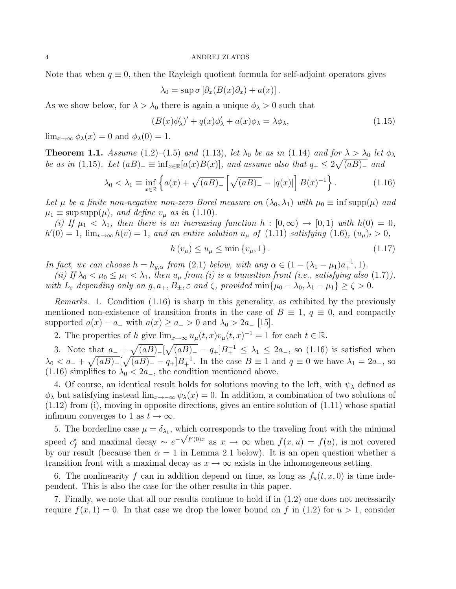Note that when  $q \equiv 0$ , then the Rayleigh quotient formula for self-adjoint operators gives

$$
\lambda_0 = \sup \sigma \left[ \partial_x (B(x) \partial_x) + a(x) \right].
$$

As we show below, for  $\lambda > \lambda_0$  there is again a unique  $\phi_{\lambda} > 0$  such that

$$
(B(x)\phi'_{\lambda})' + q(x)\phi'_{\lambda} + a(x)\phi_{\lambda} = \lambda\phi_{\lambda},\tag{1.15}
$$

 $\lim_{x\to\infty}\phi_{\lambda}(x)=0$  and  $\phi_{\lambda}(0)=1$ .

**Theorem 1.1.** Assume (1.2)–(1.5) and (1.13), let  $\lambda_0$  be as in (1.14) and for  $\lambda > \lambda_0$  let  $\phi_{\lambda}$ be as in (1.15). Let  $(aB)$ <sub>-</sub>  $\equiv$  inf<sub>x∈R</sub>[ $a(x)B(x)$ ], and assume also that  $q_+ \leq 2\sqrt{(aB)_-}$  and

$$
\lambda_0 < \lambda_1 \equiv \inf_{x \in \mathbb{R}} \left\{ a(x) + \sqrt{(aB)_-} \left[ \sqrt{(aB)_-} - |q(x)| \right] B(x)^{-1} \right\}. \tag{1.16}
$$

Let  $\mu$  be a finite non-negative non-zero Borel measure on  $(\lambda_0, \lambda_1)$  with  $\mu_0 \equiv \inf \sup p(\mu)$  and  $\mu_1 \equiv \text{sup} \, \text{supp}(\mu)$ , and define  $v_\mu$  as in (1.10).

(i) If  $\mu_1 < \lambda_1$ , then there is an increasing function  $h : [0, \infty) \to [0, 1)$  with  $h(0) = 0$ ,  $h'(0) = 1$ ,  $\lim_{v \to \infty} h(v) = 1$ , and an entire solution  $u_{\mu}$  of (1.11) satisfying (1.6),  $(u_{\mu})_t > 0$ ,

$$
h(v_{\mu}) \le u_{\mu} \le \min\{v_{\mu}, 1\}.
$$
\n(1.17)

In fact, we can choose  $h = h_{g,\alpha}$  from (2.1) below, with any  $\alpha \in (1 - (\lambda_1 - \mu_1)a_+^{-1}, 1)$ .

(ii) If  $\lambda_0 < \mu_0 \leq \mu_1 < \lambda_1$ , then  $u_\mu$  from (i) is a transition front (i.e., satisfying also (1.7)), with  $L_{\varepsilon}$  depending only on  $g, a_+, B_{\pm}, \varepsilon$  and  $\zeta$ , provided  $\min\{\mu_0 - \lambda_0, \lambda_1 - \mu_1\} \geq \zeta > 0$ .

Remarks. 1. Condition (1.16) is sharp in this generality, as exhibited by the previously mentioned non-existence of transition fronts in the case of  $B \equiv 1, q \equiv 0$ , and compactly supported  $a(x) - a_-\text{ with } a(x) \geq a_- > 0 \text{ and } \lambda_0 > 2a_-$  [15].

2. The properties of h give  $\lim_{x\to\infty} u_\mu(t,x)v_\mu(t,x)^{-1} = 1$  for each  $t \in \mathbb{R}$ .

3. Note that  $a_- + \sqrt{(aB)_-}[\sqrt{(aB)_-} - q_+]B_+^{-1} \leq \lambda_1 \leq 2a_-$ , so (1.16) is satisfied when  $\lambda_0 < a_- + \sqrt{(aB)_-} [\sqrt{(aB)_-} - q_+] B_+^{-1}$ . In the case  $B \equiv 1$  and  $q \equiv 0$  we have  $\lambda_1 = 2a_-$ , so (1.16) simplifies to  $\lambda_0 < 2a_-,$  the condition mentioned above.

4. Of course, an identical result holds for solutions moving to the left, with  $\psi_{\lambda}$  defined as  $\phi_{\lambda}$  but satisfying instead lim<sub>x→−∞</sub>  $\psi_{\lambda}(x) = 0$ . In addition, a combination of two solutions of  $(1.12)$  from (i), moving in opposite directions, gives an entire solution of  $(1.11)$  whose spatial infimum converges to 1 as  $t \to \infty$ .

5. The borderline case  $\mu = \delta_{\lambda_1}$ , which corresponds to the traveling front with the minimal speed  $c_f^*$  and maximal decay ~  $e^{-\sqrt{f'(0)x}}$  as  $x \to \infty$  when  $f(x, u) = f(u)$ , is not covered by our result (because then  $\alpha = 1$  in Lemma 2.1 below). It is an open question whether a transition front with a maximal decay as  $x \to \infty$  exists in the inhomogeneous setting.

6. The nonlinearity f can in addition depend on time, as long as  $f_u(t, x, 0)$  is time independent. This is also the case for the other results in this paper.

7. Finally, we note that all our results continue to hold if in (1.2) one does not necessarily require  $f(x, 1) = 0$ . In that case we drop the lower bound on f in (1.2) for  $u > 1$ , consider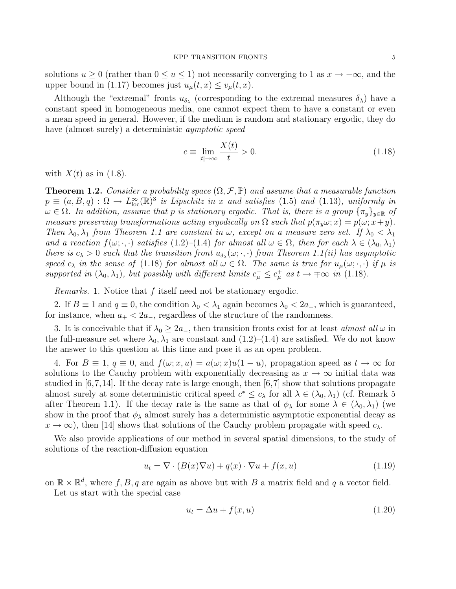solutions  $u \geq 0$  (rather than  $0 \leq u \leq 1$ ) not necessarily converging to 1 as  $x \to -\infty$ , and the upper bound in (1.17) becomes just  $u_{\mu}(t, x) \le v_{\mu}(t, x)$ .

Although the "extremal" fronts  $u_{\delta_{\lambda}}$  (corresponding to the extremal measures  $\delta_{\lambda}$ ) have a constant speed in homogeneous media, one cannot expect them to have a constant or even a mean speed in general. However, if the medium is random and stationary ergodic, they do have (almost surely) a deterministic *aymptotic speed* 

$$
c \equiv \lim_{|t| \to \infty} \frac{X(t)}{t} > 0. \tag{1.18}
$$

with  $X(t)$  as in (1.8).

**Theorem 1.2.** Consider a probability space  $(\Omega, \mathcal{F}, \mathbb{P})$  and assume that a measurable function  $p \equiv (a, B, q) : \Omega \to L^{\infty}_{loc}(\mathbb{R})^3$  is Lipschitz in x and satisfies (1.5) and (1.13), uniformly in  $\omega \in \Omega$ . In addition, assume that p is stationary ergodic. That is, there is a group  $\{\pi_y\}_{y\in\mathbb{R}}$  of measure preserving transformations acting ergodically on  $\Omega$  such that  $p(\pi_u \omega; x) = p(\omega; x+y)$ . Then  $\lambda_0, \lambda_1$  from Theorem 1.1 are constant in  $\omega$ , except on a measure zero set. If  $\lambda_0 < \lambda_1$ and a reaction  $f(\omega; \cdot, \cdot)$  satisfies  $(1.2)$ – $(1.4)$  for almost all  $\omega \in \Omega$ , then for each  $\lambda \in (\lambda_0, \lambda_1)$ there is  $c_{\lambda} > 0$  such that the transition front  $u_{\delta_{\lambda}}(\omega; \cdot, \cdot)$  from Theorem 1.1(ii) has asymptotic speed  $c_{\lambda}$  in the sense of (1.18) for almost all  $\omega \in \Omega$ . The same is true for  $u_{\mu}(\omega; \cdot, \cdot)$  if  $\mu$  is supported in  $(\lambda_0, \lambda_1)$ , but possibly with different limits  $c_{\mu}^- \leq c_{\mu}^+$  as  $t \to \pm \infty$  in (1.18).

Remarks. 1. Notice that f itself need not be stationary ergodic.

2. If  $B \equiv 1$  and  $q \equiv 0$ , the condition  $\lambda_0 < \lambda_1$  again becomes  $\lambda_0 < 2a$ , which is guaranteed, for instance, when  $a_+ < 2a_-$ , regardless of the structure of the randomness.

3. It is conceivable that if  $\lambda_0 \geq 2a_-,$  then transition fronts exist for at least almost all  $\omega$  in the full-measure set where  $\lambda_0, \lambda_1$  are constant and  $(1.2)$ – $(1.4)$  are satisfied. We do not know the answer to this question at this time and pose it as an open problem.

4. For  $B \equiv 1, q \equiv 0$ , and  $f(\omega; x, u) = a(\omega; x)u(1-u)$ , propagation speed as  $t \to \infty$  for solutions to the Cauchy problem with exponentially decreasing as  $x \to \infty$  initial data was studied in  $[6,7,14]$ . If the decay rate is large enough, then  $[6,7]$  show that solutions propagate almost surely at some deterministic critical speed  $c^* \leq c_\lambda$  for all  $\lambda \in (\lambda_0, \lambda_1)$  (cf. Remark 5) after Theorem 1.1). If the decay rate is the same as that of  $\phi_{\lambda}$  for some  $\lambda \in (\lambda_0, \lambda_1)$  (we show in the proof that  $\phi_{\lambda}$  almost surely has a deterministic asymptotic exponential decay as  $x \to \infty$ ), then [14] shows that solutions of the Cauchy problem propagate with speed  $c_{\lambda}$ .

We also provide applications of our method in several spatial dimensions, to the study of solutions of the reaction-diffusion equation

$$
u_t = \nabla \cdot (B(x)\nabla u) + q(x) \cdot \nabla u + f(x, u)
$$
\n(1.19)

on  $\mathbb{R} \times \mathbb{R}^d$ , where  $f, B, q$  are again as above but with B a matrix field and q a vector field.

Let us start with the special case

$$
u_t = \Delta u + f(x, u) \tag{1.20}
$$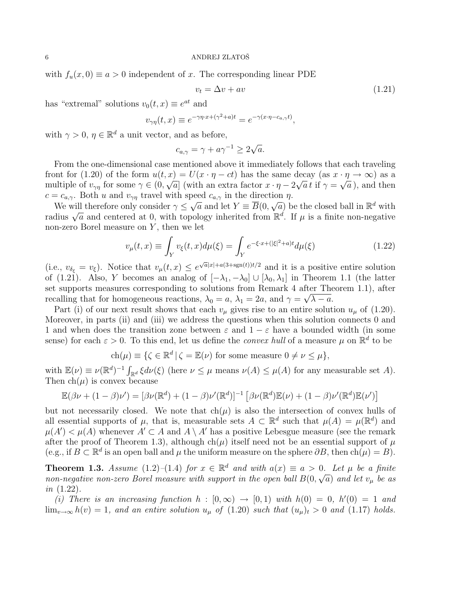with  $f_u(x, 0) \equiv a > 0$  independent of x. The corresponding linear PDE

$$
v_t = \Delta v + av \tag{1.21}
$$

has "extremal" solutions  $v_0(t, x) \equiv e^{at}$  and

$$
v_{\gamma\eta}(t,x) \equiv e^{-\gamma\eta \cdot x + (\gamma^2 + a)t} = e^{-\gamma(x \cdot \eta - c_{a,\gamma}t)},
$$

with  $\gamma > 0$ ,  $\eta \in \mathbb{R}^d$  a unit vector, and as before,

$$
c_{a,\gamma} = \gamma + a\gamma^{-1} \ge 2\sqrt{a}.
$$

From the one-dimensional case mentioned above it immediately follows that each traveling front for (1.20) of the form  $u(t, x) = U(x \cdot \eta - ct)$  has the same decay (as  $x \cdot \eta \to \infty$ ) as a multiple of  $v_{\gamma\eta}$  for some  $\gamma \in (0, \sqrt{a}]$  (with an extra factor  $x \cdot \eta - 2\sqrt{a} t$  if  $\gamma = \sqrt{a}$ ), and then  $c = c_{a,\gamma}$ . Both u and  $v_{\gamma\eta}$  travel with speed  $c_{a,\gamma}$  in the direction  $\eta$ .

We will therefore only consider  $\gamma \leq \sqrt{a}$  and let  $Y = \overline{B}(0, \sqrt{a})$  be the closed ball in  $\mathbb{R}^d$  with we will therefore only consider  $\gamma \leq \sqrt{a}$  and let  $I = D(0, \sqrt{a})$  be the closed ball in K with radius  $\sqrt{a}$  and centered at 0, with topology inherited from  $\mathbb{R}^d$ . If  $\mu$  is a finite non-negative non-zero Borel measure on  $Y$ , then we let

$$
v_{\mu}(t,x) \equiv \int_{Y} v_{\xi}(t,x) d\mu(\xi) = \int_{Y} e^{-\xi \cdot x + (|\xi|^{2} + a)t} d\mu(\xi)
$$
(1.22)

(i.e.,  $v_{\delta_{\xi}} = v_{\xi}$ ). Notice that  $v_{\mu}(t, x) \leq e^{\sqrt{a}|x| + a(3 + \text{sgn}(t))t/2}$  and it is a positive entire solution of (1.21). Also, Y becomes an analog of  $[-\lambda_1, -\lambda_0] \cup [\lambda_0, \lambda_1]$  in Theorem 1.1 (the latter set supports measures corresponding to solutions from Remark 4 after Theorem 1.1), after recalling that for homogeneous reactions,  $\lambda_0 = a$ ,  $\lambda_1 = 2a$ , and  $\gamma = \sqrt{\lambda - a}$ .

Part (i) of our next result shows that each  $v_{\mu}$  gives rise to an entire solution  $u_{\mu}$  of (1.20). Moreover, in parts (ii) and (iii) we address the questions when this solution connects 0 and 1 and when does the transition zone between  $\varepsilon$  and  $1 - \varepsilon$  have a bounded width (in some sense) for each  $\varepsilon > 0$ . To this end, let us define the *convex hull* of a measure  $\mu$  on  $\mathbb{R}^d$  to be

$$
ch(\mu) \equiv \{ \zeta \in \mathbb{R}^d \, | \, \zeta = \mathbb{E}(\nu) \text{ for some measure } 0 \neq \nu \leq \mu \},
$$

with  $\mathbb{E}(\nu) \equiv \nu (\mathbb{R}^d)^{-1} \int_{\mathbb{R}^d} \xi d\nu(\xi)$  (here  $\nu \leq \mu$  means  $\nu(A) \leq \mu(A)$  for any measurable set A). Then  $ch(\mu)$  is convex because

$$
\mathbb{E}(\beta \nu + (1 - \beta)\nu') = [\beta \nu(\mathbb{R}^d) + (1 - \beta)\nu'(\mathbb{R}^d)]^{-1} [\beta \nu(\mathbb{R}^d)\mathbb{E}(\nu) + (1 - \beta)\nu'(\mathbb{R}^d)\mathbb{E}(\nu')]
$$

but not necessarily closed. We note that  $ch(\mu)$  is also the intersection of convex hulls of all essential supports of  $\mu$ , that is, measurable sets  $A \subset \mathbb{R}^d$  such that  $\mu(A) = \mu(\mathbb{R}^d)$  and  $\mu(A') < \mu(A)$  whenever  $A' \subset A$  and  $A \setminus A'$  has a positive Lebesgue measure (see the remark after the proof of Theorem 1.3), although ch( $\mu$ ) itself need not be an essential support of  $\mu$ (e.g., if  $B \subset \mathbb{R}^d$  is an open ball and  $\mu$  the uniform measure on the sphere  $\partial B$ , then  $\text{ch}(\mu) = B$ ).

**Theorem 1.3.** Assume (1.2)–(1.4) for  $x \in \mathbb{R}^d$  and with  $a(x) \equiv a > 0$ . Let  $\mu$  be a finite non-negative non-zero Borel measure with support in the open ball  $B(0,\sqrt{a})$  and let  $v_{\mu}$  be as in (1.22).

(i) There is an increasing function  $h : [0, \infty) \rightarrow [0, 1]$  with  $h(0) = 0$ ,  $h'(0) = 1$  and  $\lim_{v\to\infty} h(v) = 1$ , and an entire solution  $u_{\mu}$  of (1.20) such that  $(u_{\mu})_t > 0$  and (1.17) holds.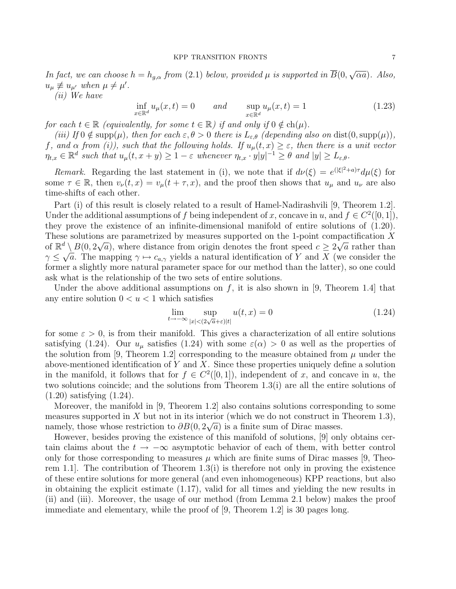In fact, we can choose  $h = h_{g,\alpha}$  from (2.1) below, provided  $\mu$  is supported in  $B(0,$ √  $\overline{\alpha}$ a). Also,  $u_{\mu} \not\equiv u_{\mu'}$  when  $\mu \neq \mu'.$ 

(ii) We have

$$
\inf_{x \in \mathbb{R}^d} u_\mu(x, t) = 0 \qquad \text{and} \qquad \sup_{x \in \mathbb{R}^d} u_\mu(x, t) = 1 \tag{1.23}
$$

for each  $t \in \mathbb{R}$  (equivalently, for some  $t \in \mathbb{R}$ ) if and only if  $0 \notin ch(\mu)$ .

(iii) If  $0 \notin \text{supp}(\mu)$ , then for each  $\varepsilon, \theta > 0$  there is  $L_{\varepsilon,\theta}$  (depending also on dist(0, supp( $\mu$ )), f, and  $\alpha$  from (i)), such that the following holds. If  $u_{\mu}(t,x) \geq \varepsilon$ , then there is a unit vector  $\eta_{t,x} \in \mathbb{R}^d$  such that  $u_\mu(t,x+y) \geq 1-\varepsilon$  whenever  $\eta_{t,x} \cdot y|y|^{-1} \geq \theta$  and  $|y| \geq L_{\varepsilon,\theta}$ .

Remark. Regarding the last statement in (i), we note that if  $d\nu(\xi) = e^{(|\xi|^2 + a)\tau} d\mu(\xi)$  for some  $\tau \in \mathbb{R}$ , then  $v_{\nu}(t, x) = v_{\mu}(t + \tau, x)$ , and the proof then shows that  $u_{\mu}$  and  $u_{\nu}$  are also time-shifts of each other.

Part (i) of this result is closely related to a result of Hamel-Nadirashvili [9, Theorem 1.2]. Under the additional assumptions of f being independent of x, concave in u, and  $f \in C^2([0,1])$ , they prove the existence of an infinite-dimensional manifold of entire solutions of (1.20). These solutions are parametrized by measures supported on the 1-point compactification X of  $\mathbb{R}^d \setminus B(0, 2\sqrt{a})$ , where distance from origin denotes the front speed  $c \geq 2\sqrt{a}$  rather than  $\gamma \leq \sqrt{a}$ . The mapping  $\gamma \mapsto c_{a,\gamma}$  yields a natural identification of Y and X (we consider the former a slightly more natural parameter space for our method than the latter), so one could ask what is the relationship of the two sets of entire solutions.

Under the above additional assumptions on f, it is also shown in [9, Theorem 1.4] that any entire solution  $0 < u < 1$  which satisfies

$$
\lim_{t \to -\infty} \sup_{|x| < (2\sqrt{a} + \varepsilon)|t|} u(t, x) = 0 \tag{1.24}
$$

for some  $\varepsilon > 0$ , is from their manifold. This gives a characterization of all entire solutions satisfying (1.24). Our  $u_{\mu}$  satisfies (1.24) with some  $\varepsilon(\alpha) > 0$  as well as the properties of the solution from [9, Theorem 1.2] corresponding to the measure obtained from  $\mu$  under the above-mentioned identification of Y and X. Since these properties uniquely define a solution in the manifold, it follows that for  $f \in C^2([0,1])$ , independent of x, and concave in u, the two solutions coincide; and the solutions from Theorem 1.3(i) are all the entire solutions of (1.20) satisfying (1.24).

Moreover, the manifold in [9, Theorem 1.2] also contains solutions corresponding to some measures supported in X but not in its interior (which we do not construct in Theorem 1.3), namely, those whose restriction to  $\partial B(0, 2\sqrt{a})$  is a finite sum of Dirac masses.

However, besides proving the existence of this manifold of solutions, [9] only obtains certain claims about the  $t \to -\infty$  asymptotic behavior of each of them, with better control only for those corresponding to measures  $\mu$  which are finite sums of Dirac masses [9, Theorem 1.1. The contribution of Theorem 1.3(i) is therefore not only in proving the existence of these entire solutions for more general (and even inhomogeneous) KPP reactions, but also in obtaining the explicit estimate (1.17), valid for all times and yielding the new results in (ii) and (iii). Moreover, the usage of our method (from Lemma 2.1 below) makes the proof immediate and elementary, while the proof of [9, Theorem 1.2] is 30 pages long.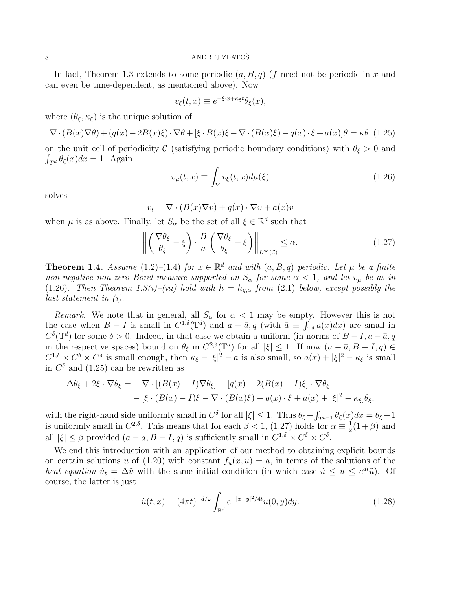In fact, Theorem 1.3 extends to some periodic  $(a, B, q)$  (f need not be periodic in x and can even be time-dependent, as mentioned above). Now

$$
v_{\xi}(t,x) \equiv e^{-\xi \cdot x + \kappa_{\xi} t} \theta_{\xi}(x),
$$

where  $(\theta_{\xi}, \kappa_{\xi})$  is the unique solution of

$$
\nabla \cdot (B(x)\nabla \theta) + (q(x) - 2B(x)\xi) \cdot \nabla \theta + \left[\xi \cdot B(x)\xi - \nabla \cdot (B(x)\xi) - q(x) \cdot \xi + a(x)\right] \theta = \kappa \theta \tag{1.25}
$$

on the unit cell of periodicity C (satisfying periodic boundary conditions) with  $\theta_{\xi} > 0$  and  $\int_{T^d} \theta_{\xi}(x) dx = 1$ . Again

$$
v_{\mu}(t,x) \equiv \int_{Y} v_{\xi}(t,x) d\mu(\xi)
$$
\n(1.26)

solves

$$
v_t = \nabla \cdot (B(x)\nabla v) + q(x) \cdot \nabla v + a(x)v
$$

when  $\mu$  is as above. Finally, let  $S_{\alpha}$  be the set of all  $\xi \in \mathbb{R}^d$  such that

$$
\left\| \left( \frac{\nabla \theta_{\xi}}{\theta_{\xi}} - \xi \right) \cdot \frac{B}{a} \left( \frac{\nabla \theta_{\xi}}{\theta_{\xi}} - \xi \right) \right\|_{L^{\infty}(\mathcal{C})} \le \alpha.
$$
 (1.27)

**Theorem 1.4.** Assume (1.2)–(1.4) for  $x \in \mathbb{R}^d$  and with  $(a, B, q)$  periodic. Let  $\mu$  be a finite non-negative non-zero Borel measure supported on  $S_{\alpha}$  for some  $\alpha < 1$ , and let  $v_{\mu}$  be as in (1.26). Then Theorem 1.3(i)–(iii) hold with  $h = h_{g,\alpha}$  from (2.1) below, except possibly the last statement in (i).

Remark. We note that in general, all  $S_{\alpha}$  for  $\alpha < 1$  may be empty. However this is not the case when  $B-I$  is small in  $C^{1,\delta}(\mathbb{T}^d)$  and  $a-\bar{a}, q$  (with  $\bar{a} \equiv \int_{\mathbb{T}^d} a(x)dx$ ) are small in  $C^{\delta}(\mathbb{T}^d)$  for some  $\delta > 0$ . Indeed, in that case we obtain a uniform (in norms of  $B - I$ ,  $a - \bar{a}$ , q in the respective spaces) bound on  $\theta_{\xi}$  in  $C^{2,\delta}(\mathbb{T}^d)$  for all  $|\xi| \leq 1$ . If now  $(a - \bar{a}, B - I, q) \in$  $C^{1,\delta} \times C^{\delta} \times C^{\delta}$  is small enough, then  $\kappa_{\xi} - |\xi|^2 - \bar{a}$  is also small, so  $a(x) + |\xi|^2 - \kappa_{\xi}$  is small in  $C^{\delta}$  and (1.25) can be rewritten as

$$
\Delta \theta_{\xi} + 2\xi \cdot \nabla \theta_{\xi} = -\nabla \cdot [(B(x) - I)\nabla \theta_{\xi}] - [q(x) - 2(B(x) - I)\xi] \cdot \nabla \theta_{\xi}
$$

$$
- [\xi \cdot (B(x) - I)\xi - \nabla \cdot (B(x)\xi) - q(x) \cdot \xi + a(x) + |\xi|^{2} - \kappa_{\xi}] \theta_{\xi},
$$

with the right-hand side uniformly small in  $C^{\delta}$  for all  $|\xi| \leq 1$ . Thus  $\theta_{\xi} - \int_{T^{d-1}} \theta_{\xi}(x) dx = \theta_{\xi} - 1$ is uniformly small in  $C^{2,\delta}$ . This means that for each  $\beta < 1$ , (1.27) holds for  $\alpha \equiv \frac{1}{2}$  $\frac{1}{2}(1+\beta)$  and all  $|\xi| \leq \beta$  provided  $(a - \bar{a}, B - I, q)$  is sufficiently small in  $C^{1,\delta} \times C^{\delta} \times C^{\delta}$ .

We end this introduction with an application of our method to obtaining explicit bounds on certain solutions u of (1.20) with constant  $f_u(x, u) = a$ , in terms of the solutions of the heat equation  $\tilde{u}_t = \Delta \tilde{u}$  with the same initial condition (in which case  $\tilde{u} \leq u \leq e^{at}\tilde{u}$ ). Of course, the latter is just

$$
\tilde{u}(t,x) = (4\pi t)^{-d/2} \int_{\mathbb{R}^d} e^{-|x-y|^2/4t} u(0,y) dy.
$$
\n(1.28)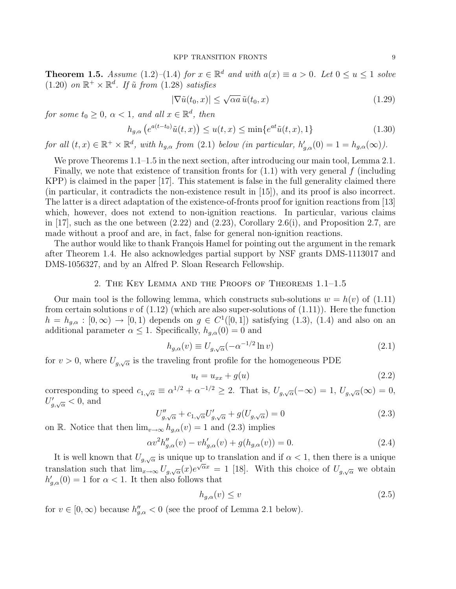**Theorem 1.5.** Assume (1.2)–(1.4) for  $x \in \mathbb{R}^d$  and with  $a(x) \equiv a > 0$ . Let  $0 \le u \le 1$  solve  $(1.20)$  on  $\mathbb{R}^+ \times \mathbb{R}^d$ . If  $\tilde{u}$  from  $(1.28)$  satisfies

$$
|\nabla \tilde{u}(t_0, x)| \le \sqrt{\alpha a} \, \tilde{u}(t_0, x) \tag{1.29}
$$

for some  $t_0 \geq 0$ ,  $\alpha < 1$ , and all  $x \in \mathbb{R}^d$ , then

$$
h_{g,\alpha}\left(e^{a(t-t_0)}\tilde{u}(t,x)\right) \le u(t,x) \le \min\{e^{at}\tilde{u}(t,x),1\} \tag{1.30}
$$

for all  $(t, x) \in \mathbb{R}^+ \times \mathbb{R}^d$ , with  $h_{g,\alpha}$  from (2.1) below (in particular,  $h'_{g,\alpha}(0) = 1 = h_{g,\alpha}(\infty)$ ).

We prove Theorems 1.1–1.5 in the next section, after introducing our main tool, Lemma 2.1.

Finally, we note that existence of transition fronts for  $(1.1)$  with very general f (including KPP) is claimed in the paper [17]. This statement is false in the full generality claimed there (in particular, it contradicts the non-existence result in [15]), and its proof is also incorrect. The latter is a direct adaptation of the existence-of-fronts proof for ignition reactions from [13] which, however, does not extend to non-ignition reactions. In particular, various claims in  $[17]$ , such as the one between  $(2.22)$  and  $(2.23)$ , Corollary  $2.6(i)$ , and Proposition 2.7, are made without a proof and are, in fact, false for general non-ignition reactions.

The author would like to thank François Hamel for pointing out the argument in the remark after Theorem 1.4. He also acknowledges partial support by NSF grants DMS-1113017 and DMS-1056327, and by an Alfred P. Sloan Research Fellowship.

# 2. The Key Lemma and the Proofs of Theorems 1.1–1.5

Our main tool is the following lemma, which constructs sub-solutions  $w = h(v)$  of (1.11) from certain solutions v of  $(1.12)$  (which are also super-solutions of  $(1.11)$ ). Here the function  $h = h_{g,\alpha} : [0,\infty) \to [0,1]$  depends on  $g \in C^1([0,1])$  satisfying  $(1.3)$ ,  $(1.4)$  and also on an additional parameter  $\alpha \leq 1$ . Specifically,  $h_{g,\alpha}(0) = 0$  and

$$
h_{g,\alpha}(v) \equiv U_{g,\sqrt{\alpha}}(-\alpha^{-1/2}\ln v)
$$
\n(2.1)

for  $v > 0$ , where  $U_{g,\sqrt{\alpha}}$  is the traveling front profile for the homogeneous PDE

$$
u_t = u_{xx} + g(u) \tag{2.2}
$$

corresponding to speed  $c_{1,\sqrt{\alpha}} \equiv \alpha^{1/2} + \alpha^{-1/2} \geq 2$ . That is,  $U_{g,\sqrt{\alpha}}(-\infty) = 1$ ,  $U_{g,\sqrt{\alpha}}(\infty) = 0$ ,  $U'_{g,\sqrt{\alpha}} < 0$ , and

$$
U''_{g,\sqrt{\alpha}} + c_{1,\sqrt{\alpha}} U'_{g,\sqrt{\alpha}} + g(U_{g,\sqrt{\alpha}}) = 0
$$
\n(2.3)

on R. Notice that then  $\lim_{v\to\infty} h_{q,\alpha}(v) = 1$  and  $(2.3)$  implies

$$
\alpha v^2 h_{g,\alpha}''(v) - v h_{g,\alpha}'(v) + g(h_{g,\alpha}(v)) = 0.
$$
\n(2.4)

It is well known that  $U_{g,\sqrt{\alpha}}$  is unique up to translation and if  $\alpha < 1$ , then there is a unique translation such that  $\lim_{x\to\infty} U_{g,\sqrt{\alpha}}(x)e^{\sqrt{\alpha}x} = 1$  [18]. With this choice of  $U_{g,\sqrt{\alpha}}$  we obtain  $h'_{g,\alpha}(0) = 1$  for  $\alpha < 1$ . It then also follows that

$$
h_{g,\alpha}(v) \le v \tag{2.5}
$$

for  $v \in [0, \infty)$  because  $h''_{g,\alpha} < 0$  (see the proof of Lemma 2.1 below).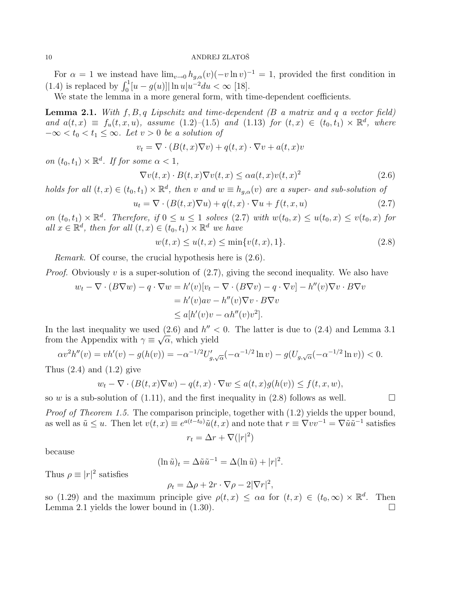For  $\alpha = 1$  we instead have  $\lim_{v \to 0} h_{g,\alpha}(v) (-v \ln v)^{-1} = 1$ , provided the first condition in (1.4) is replaced by  $\int_0^1 [u - g(u)] |\ln u| u^{-2} du < \infty$  [18].

We state the lemma in a more general form, with time-dependent coefficients.

**Lemma 2.1.** With  $f, B, q$  Lipschitz and time-dependent  $(B \text{ a matrix and } q \text{ a vector field})$ and  $a(t, x) \equiv f_u(t, x, u)$ , assume  $(1.2)$  – $(1.5)$  and  $(1.13)$  for  $(t, x) \in (t_0, t_1) \times \mathbb{R}^d$ , where  $-\infty < t_0 < t_1 \leq \infty$ . Let  $v > 0$  be a solution of

$$
v_t = \nabla \cdot (B(t, x)\nabla v) + q(t, x) \cdot \nabla v + a(t, x)v
$$

on  $(t_0, t_1) \times \mathbb{R}^d$ . If for some  $\alpha < 1$ ,

$$
\nabla v(t,x) \cdot B(t,x) \nabla v(t,x) \le \alpha a(t,x) v(t,x)^2 \tag{2.6}
$$

holds for all  $(t, x) \in (t_0, t_1) \times \mathbb{R}^d$ , then v and  $w \equiv h_{g,\alpha}(v)$  are a super- and sub-solution of

$$
u_t = \nabla \cdot (B(t, x)\nabla u) + q(t, x) \cdot \nabla u + f(t, x, u)
$$
\n(2.7)

on  $(t_0, t_1) \times \mathbb{R}^d$ . Therefore, if  $0 \le u \le 1$  solves  $(2.7)$  with  $w(t_0, x) \le u(t_0, x) \le v(t_0, x)$  for all  $x \in \mathbb{R}^d$ , then for all  $(t, x) \in (t_0, t_1) \times \mathbb{R}^d$  we have

$$
w(t, x) \le u(t, x) \le \min\{v(t, x), 1\}.
$$
\n(2.8)

Remark. Of course, the crucial hypothesis here is (2.6).

*Proof.* Obviously v is a super-solution of  $(2.7)$ , giving the second inequality. We also have

$$
w_t - \nabla \cdot (B\nabla w) - q \cdot \nabla w = h'(v)[v_t - \nabla \cdot (B\nabla v) - q \cdot \nabla v] - h''(v)\nabla v \cdot B\nabla v
$$
  
=  $h'(v)av - h''(v)\nabla v \cdot B\nabla v$   

$$
\leq a[h'(v)v - \alpha h''(v)v^2].
$$

In the last inequality we used  $(2.6)$  and  $h'' < 0$ . The latter is due to  $(2.4)$  and Lemma 3.1 from the Appendix with  $\gamma \equiv \sqrt{\alpha}$ , which yield

$$
\alpha v^2 h''(v) = v h'(v) - g(h(v)) = -\alpha^{-1/2} U'_{g,\sqrt{\alpha}}(-\alpha^{-1/2} \ln v) - g(U_{g,\sqrt{\alpha}}(-\alpha^{-1/2} \ln v)) < 0.
$$

Thus  $(2.4)$  and  $(1.2)$  give

$$
w_t - \nabla \cdot (B(t, x)\nabla w) - q(t, x) \cdot \nabla w \le a(t, x)g(h(v)) \le f(t, x, w),
$$

so w is a sub-solution of  $(1.11)$ , and the first inequality in  $(2.8)$  follows as well.

Proof of Theorem 1.5. The comparison principle, together with  $(1.2)$  yields the upper bound, as well as  $\tilde{u} \leq u$ . Then let  $v(t, x) \equiv e^{a(t-t_0)} \tilde{u}(t, x)$  and note that  $r \equiv \nabla v v^{-1} = \nabla \tilde{u} \tilde{u}^{-1}$  satisfies

$$
r_t = \Delta r + \nabla (|r|^2)
$$

because

$$
(\ln \tilde{u})_t = \Delta \tilde{u} \tilde{u}^{-1} = \Delta (\ln \tilde{u}) + |r|^2.
$$

Thus  $\rho \equiv |r|^2$  satisfies

$$
\rho_t = \Delta \rho + 2r \cdot \nabla \rho - 2|\nabla r|^2,
$$

so (1.29) and the maximum principle give  $\rho(t,x) \leq \alpha a$  for  $(t,x) \in (t_0,\infty) \times \mathbb{R}^d$ . Then Lemma 2.1 yields the lower bound in  $(1.30)$ .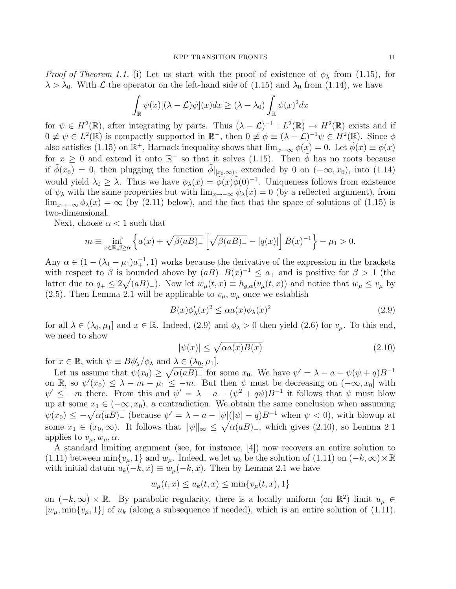*Proof of Theorem 1.1.* (i) Let us start with the proof of existence of  $\phi_{\lambda}$  from (1.15), for  $\lambda > \lambda_0$ . With  $\mathcal L$  the operator on the left-hand side of (1.15) and  $\lambda_0$  from (1.14), we have

$$
\int_{\mathbb{R}} \psi(x) [(\lambda - \mathcal{L})\psi](x) dx \geq (\lambda - \lambda_0) \int_{\mathbb{R}} \psi(x)^2 dx
$$

for  $\psi \in H^2(\mathbb{R})$ , after integrating by parts. Thus  $(\lambda - \mathcal{L})^{-1} : L^2(\mathbb{R}) \to H^2(\mathbb{R})$  exists and if  $0 \neq \psi \in L^2(\mathbb{R})$  is compactly supported in  $\mathbb{R}^-$ , then  $0 \neq \phi \equiv (\lambda - \mathcal{L})^{-1} \psi \in H^2(\mathbb{R})$ . Since  $\phi$ also satisfies (1.15) on  $\mathbb{R}^+$ , Harnack inequality shows that  $\lim_{x\to\infty}\phi(x)=0$ . Let  $\tilde{\phi}(x)\equiv\phi(x)$ for  $x \geq 0$  and extend it onto  $\mathbb{R}^-$  so that it solves (1.15). Then  $\phi$  has no roots because if  $\tilde{\phi}(x_0) = 0$ , then plugging the function  $\tilde{\phi}|_{[x_0,\infty)}$ , extended by 0 on  $(-\infty, x_0)$ , into  $(1.14)$ would yield  $\lambda_0 \geq \lambda$ . Thus we have  $\phi_{\lambda}(x) = \tilde{\phi}(x)\tilde{\phi}(0)^{-1}$ . Uniqueness follows from existence of  $\psi_{\lambda}$  with the same properties but with  $\lim_{x\to-\infty}\psi_{\lambda}(x)=0$  (by a reflected argument), from lim<sub>x→−∞</sub>  $\phi_{\lambda}(x) = \infty$  (by (2.11) below), and the fact that the space of solutions of (1.15) is two-dimensional.

Next, choose  $\alpha < 1$  such that

$$
m \equiv \inf_{x \in \mathbb{R}, \beta \ge \alpha} \left\{ a(x) + \sqrt{\beta(aB)} - \left[ \sqrt{\beta(aB)} - |q(x)| \right] B(x)^{-1} \right\} - \mu_1 > 0.
$$

Any  $\alpha \in (1 - (\lambda_1 - \mu_1)a_+^{-1}, 1)$  works because the derivative of the expression in the brackets with respect to  $\beta$  is bounded above by  $(aB)_{-}B(x)^{-1} \le a_{+}$  and is positive for  $\beta > 1$  (the latter due to  $q_+ \leq 2\sqrt{(aB)_-}$ . Now let  $w_\mu(t,x) \equiv h_{g,\alpha}(v_\mu(t,x))$  and notice that  $w_\mu \leq v_\mu$  by (2.5). Then Lemma 2.1 will be applicable to  $v_{\mu}$ ,  $w_{\mu}$  once we establish

$$
B(x)\phi'_{\lambda}(x)^{2} \leq \alpha a(x)\phi_{\lambda}(x)^{2}
$$
\n(2.9)

for all  $\lambda \in (\lambda_0, \mu_1]$  and  $x \in \mathbb{R}$ . Indeed, (2.9) and  $\phi_{\lambda} > 0$  then yield (2.6) for  $v_{\mu}$ . To this end, we need to show

$$
|\psi(x)| \le \sqrt{\alpha a(x)B(x)}\tag{2.10}
$$

for  $x \in \mathbb{R}$ , with  $\psi \equiv B\phi'_{\lambda}/\phi_{\lambda}$  and  $\lambda \in (\lambda_0, \mu_1]$ .

Let us assume that  $\psi(x_0) \geq \sqrt{\alpha(aB)^2}$  for some  $x_0$ . We have  $\psi' = \lambda - a - \psi(\psi + q)B^{-1}$ on R, so  $\psi'(x_0) \leq \lambda - m - \mu_1 \leq -m$ . But then  $\psi$  must be decreasing on  $(-\infty, x_0]$  with  $\psi' \leq -m$  there. From this and  $\psi' = \lambda - a - (\psi^2 + q\psi)B^{-1}$  it follows that  $\psi$  must blow up at some  $x_1 \in (-\infty, x_0)$ , a contradiction. We obtain the same conclusion when assuming  $\psi(x_0) \leq -\sqrt{\alpha(aB)^2}$  (because  $\psi' = \lambda - a - |\psi|(|\psi| - q)B^{-1}$  when  $\psi < 0$ ), with blowup at some  $x_1 \in (x_0, \infty)$ . It follows that  $\|\psi\|_{\infty} \leq \sqrt{\alpha(aB)}$ , which gives (2.10), so Lemma 2.1 applies to  $v_{\mu}, w_{\mu}, \alpha$ .

A standard limiting argument (see, for instance, [4]) now recovers an entire solution to (1.11) between min $\{v_\mu, 1\}$  and  $w_\mu$ . Indeed, we let  $u_k$  be the solution of (1.11) on  $(-k, \infty) \times \mathbb{R}$ with initial datum  $u_k(-k, x) \equiv w_\mu(-k, x)$ . Then by Lemma 2.1 we have

$$
w_{\mu}(t, x) \le u_k(t, x) \le \min\{v_{\mu}(t, x), 1\}
$$

on  $(-k,\infty) \times \mathbb{R}$ . By parabolic regularity, there is a locally uniform (on  $\mathbb{R}^2$ ) limit  $u_\mu \in$  $[w_\mu, \min\{v_\mu, 1\}]$  of  $u_k$  (along a subsequence if needed), which is an entire solution of (1.11).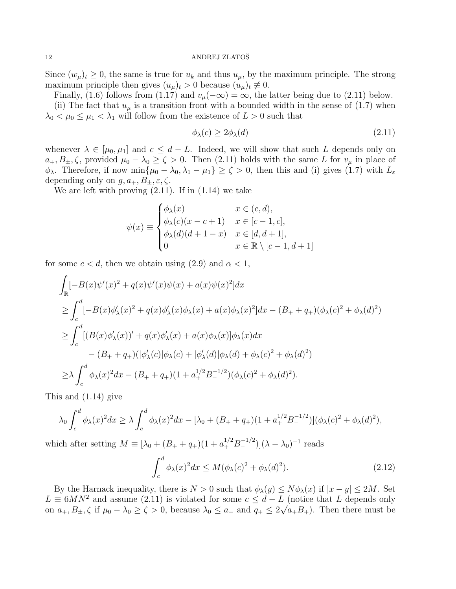Since  $(w_{\mu})_t \geq 0$ , the same is true for  $u_k$  and thus  $u_{\mu}$ , by the maximum principle. The strong maximum principle then gives  $(u_\mu)_t > 0$  because  $(u_\mu)_t \not\equiv 0$ .

Finally, (1.6) follows from (1.17) and  $v_\mu(-\infty) = \infty$ , the latter being due to (2.11) below.

(ii) The fact that  $u_{\mu}$  is a transition front with a bounded width in the sense of (1.7) when  $\lambda_0 < \mu_0 \leq \mu_1 < \lambda_1$  will follow from the existence of  $L > 0$  such that

$$
\phi_{\lambda}(c) \ge 2\phi_{\lambda}(d) \tag{2.11}
$$

whenever  $\lambda \in [\mu_0, \mu_1]$  and  $c \leq d - L$ . Indeed, we will show that such L depends only on  $a_+, B_{\pm}, \zeta$ , provided  $\mu_0 - \lambda_0 \geq \zeta > 0$ . Then (2.11) holds with the same L for  $v_\mu$  in place of  $\phi_{\lambda}$ . Therefore, if now min $\{\mu_0 - \lambda_0, \lambda_1 - \mu_1\} \ge \zeta > 0$ , then this and (i) gives (1.7) with  $L_{\varepsilon}$ depending only on  $g, a_+, B_\pm, \varepsilon, \zeta$ .

We are left with proving  $(2.11)$ . If in  $(1.14)$  we take

$$
\psi(x) \equiv \begin{cases}\n\phi_{\lambda}(x) & x \in (c, d), \\
\phi_{\lambda}(c)(x - c + 1) & x \in [c - 1, c], \\
\phi_{\lambda}(d)(d + 1 - x) & x \in [d, d + 1], \\
0 & x \in \mathbb{R} \setminus [c - 1, d + 1]\n\end{cases}
$$

for some  $c < d$ , then we obtain using (2.9) and  $\alpha < 1$ ,

$$
\int_{\mathbb{R}} [-B(x)\psi'(x)^{2} + q(x)\psi'(x)\psi(x) + a(x)\psi(x)^{2}]dx
$$
\n
$$
\geq \int_{c}^{d} [-B(x)\phi'_{\lambda}(x)^{2} + q(x)\phi'_{\lambda}(x)\phi_{\lambda}(x) + a(x)\phi_{\lambda}(x)^{2}]dx - (B_{+} + q_{+})(\phi_{\lambda}(c)^{2} + \phi_{\lambda}(d)^{2})
$$
\n
$$
\geq \int_{c}^{d} [(B(x)\phi'_{\lambda}(x))' + q(x)\phi'_{\lambda}(x) + a(x)\phi_{\lambda}(x)]\phi_{\lambda}(x)dx
$$
\n
$$
- (B_{+} + q_{+})(|\phi'_{\lambda}(c)|\phi_{\lambda}(c) + |\phi'_{\lambda}(d)|\phi_{\lambda}(d) + \phi_{\lambda}(c)^{2} + \phi_{\lambda}(d)^{2})
$$
\n
$$
\geq \lambda \int_{c}^{d} \phi_{\lambda}(x)^{2}dx - (B_{+} + q_{+})(1 + a_{+}^{1/2}B_{-}^{-1/2})(\phi_{\lambda}(c)^{2} + \phi_{\lambda}(d)^{2}).
$$

This and (1.14) give

$$
\lambda_0 \int_c^d \phi_\lambda(x)^2 dx \ge \lambda \int_c^d \phi_\lambda(x)^2 dx - [\lambda_0 + (B_+ + q_+)(1 + a_+^{1/2} B_-^{-1/2})](\phi_\lambda(c)^2 + \phi_\lambda(d)^2),
$$

which after setting  $M \equiv [\lambda_0 + (B_+ + q_+)(1 + a_+^{1/2} B_-^{-1/2})](\lambda - \lambda_0)^{-1}$  reads

$$
\int_{c}^{d} \phi_{\lambda}(x)^{2} dx \le M(\phi_{\lambda}(c)^{2} + \phi_{\lambda}(d)^{2}).
$$
\n(2.12)

By the Harnack inequality, there is  $N > 0$  such that  $\phi_{\lambda}(y) \leq N \phi_{\lambda}(x)$  if  $|x - y| \leq 2M$ . Set  $L \equiv 6MN^2$  and assume (2.11) is violated for some  $c \leq d - L$  (notice that L depends only on  $a_+, B_{\pm}, \zeta$  if  $\mu_0 - \lambda_0 \ge \zeta > 0$ , because  $\lambda_0 \le a_+$  and  $q_+ \le 2\sqrt{a_+ B_+}$ . Then there must be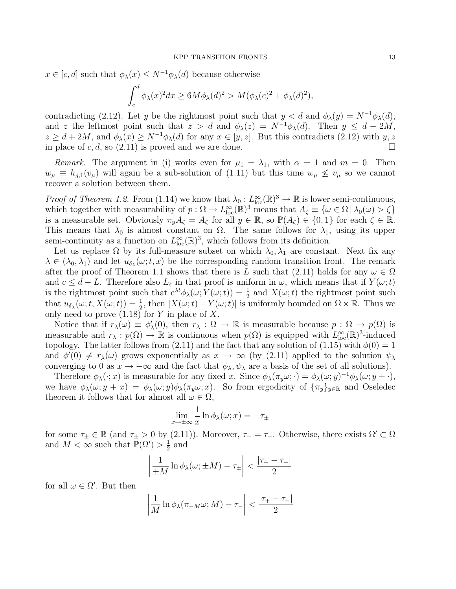$x \in [c, d]$  such that  $\phi_{\lambda}(x) \leq N^{-1} \phi_{\lambda}(d)$  because otherwise

$$
\int_c^d \phi_\lambda(x)^2 dx \ge 6M\phi_\lambda(d)^2 > M(\phi_\lambda(c)^2 + \phi_\lambda(d)^2),
$$

contradicting (2.12). Let y be the rightmost point such that  $y < d$  and  $\phi_{\lambda}(y) = N^{-1}\phi_{\lambda}(d)$ , and z the leftmost point such that  $z > d$  and  $\phi_{\lambda}(z) = N^{-1}\phi_{\lambda}(d)$ . Then  $y \leq d - 2M$ ,  $z \geq d + 2M$ , and  $\phi_{\lambda}(x) \geq N^{-1}\phi_{\lambda}(d)$  for any  $x \in [y, z]$ . But this contradicts (2.12) with  $y, z$ in place of c, d, so  $(2.11)$  is proved and we are done.

Remark. The argument in (i) works even for  $\mu_1 = \lambda_1$ , with  $\alpha = 1$  and  $m = 0$ . Then  $w_{\mu} \equiv h_{g,1}(v_{\mu})$  will again be a sub-solution of (1.11) but this time  $w_{\mu} \nleq v_{\mu}$  so we cannot recover a solution between them.

*Proof of Theorem 1.2.* From (1.14) we know that  $\lambda_0: L^{\infty}_{loc}(\mathbb{R})^3 \to \mathbb{R}$  is lower semi-continuous, which together with measurability of  $p: \Omega \to L^{\infty}_{loc}(\mathbb{R})^3$  means that  $A_{\zeta} \equiv {\omega \in \Omega | \lambda_0(\omega) > \zeta }$ is a measurable set. Obviously  $\pi_y A_{\zeta} = A_{\zeta}$  for all  $y \in \mathbb{R}$ , so  $\mathbb{P}(A_{\zeta}) \in \{0,1\}$  for each  $\zeta \in \mathbb{R}$ . This means that  $\lambda_0$  is almost constant on  $\Omega$ . The same follows for  $\lambda_1$ , using its upper semi-continuity as a function on  $L^{\infty}_{loc}(\mathbb{R})^3$ , which follows from its definition.

Let us replace  $\Omega$  by its full-measure subset on which  $\lambda_0, \lambda_1$  are constant. Next fix any  $\lambda \in (\lambda_0, \lambda_1)$  and let  $u_{\delta_{\lambda}}(\omega; t, x)$  be the corresponding random transition front. The remark after the proof of Theorem 1.1 shows that there is L such that (2.11) holds for any  $\omega \in \Omega$ and  $c \leq d - L$ . Therefore also  $L_{\varepsilon}$  in that proof is uniform in  $\omega$ , which means that if  $Y(\omega; t)$ is the rightmost point such that  $e^{\lambda t}\phi_\lambda(\omega;Y(\omega;t))=\frac{1}{2}$  and  $X(\omega;t)$  the rightmost point such that  $u_{\delta_{\lambda}}(\omega; t, X(\omega; t)) = \frac{1}{2}$ , then  $|X(\omega; t) - Y(\omega; t)|$  is uniformly bounded on  $\Omega \times \mathbb{R}$ . Thus we only need to prove  $(1.18)$  for Y in place of X.

Notice that if  $r_{\lambda}(\omega) \equiv \phi_{\lambda}'(0)$ , then  $r_{\lambda} : \Omega \to \mathbb{R}$  is measurable because  $p : \Omega \to p(\Omega)$  is measurable and  $r_{\lambda}: p(\Omega) \to \mathbb{R}$  is continuous when  $p(\Omega)$  is equipped with  $L^{\infty}_{loc}(\mathbb{R})^3$ -induced topology. The latter follows from (2.11) and the fact that any solution of (1.15) with  $\phi(0) = 1$ and  $\phi'(0) \neq r_{\lambda}(\omega)$  grows exponentially as  $x \to \infty$  (by (2.11) applied to the solution  $\psi_{\lambda}$ converging to 0 as  $x \to -\infty$  and the fact that  $\phi_{\lambda}, \psi_{\lambda}$  are a basis of the set of all solutions).

Therefore  $\phi_{\lambda}(\cdot; x)$  is measurable for any fixed x. Since  $\phi_{\lambda}(\pi_y \omega; \cdot) = \phi_{\lambda}(\omega; y)^{-1} \phi_{\lambda}(\omega; y + \cdot)$ , we have  $\phi_{\lambda}(\omega; y + x) = \phi_{\lambda}(\omega; y)\phi_{\lambda}(\pi_y \omega; x)$ . So from ergodicity of  ${\{\pi_y\}}_{y \in \mathbb{R}}$  and Oseledec theorem it follows that for almost all  $\omega \in \Omega$ ,

$$
\lim_{x \to \pm \infty} \frac{1}{x} \ln \phi_{\lambda}(\omega; x) = -\tau_{\pm}
$$

for some  $\tau_{\pm} \in \mathbb{R}$  (and  $\tau_{\pm} > 0$  by (2.11)). Moreover,  $\tau_{+} = \tau_{-}$ . Otherwise, there exists  $\Omega' \subset \Omega$ and  $M < \infty$  such that  $\overline{P}(\Omega') > \frac{1}{2}$  $\frac{1}{2}$  and

$$
\left|\frac{1}{\pm M}\ln\phi_{\lambda}(\omega;\pm M) - \tau_{\pm}\right| < \frac{|\tau_{+} - \tau_{-}|}{2}
$$

for all  $\omega \in \Omega'$ . But then

$$
\left|\frac{1}{M}\ln\phi_{\lambda}(\pi_{-M}\omega;M)-\tau_{-}\right|<\frac{|\tau_{+}-\tau_{-}|}{2}
$$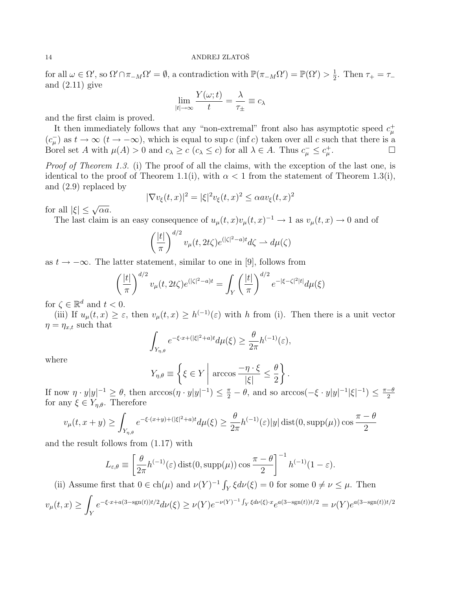for all  $\omega \in \Omega'$ , so  $\Omega' \cap \pi_{-M} \Omega' = \emptyset$ , a contradiction with  $\mathbb{P}(\pi_{-M} \Omega') = \mathbb{P}(\Omega') > \frac{1}{2}$  $\frac{1}{2}$ . Then  $\tau_{+} = \tau_{-}$ and  $(2.11)$  give

$$
\lim_{|t| \to \infty} \frac{Y(\omega; t)}{t} = \frac{\lambda}{\tau_{\pm}} \equiv c_{\lambda}
$$

and the first claim is proved.

It then immediately follows that any "non-extremal" front also has asymptotic speed  $c^{\dagger}_{\mu}$  $(c_{\mu}^{-})$  as  $t \to \infty$   $(t \to -\infty)$ , which is equal to sup c (inf c) taken over all c such that there is a Borel set A with  $\mu(A) > 0$  and  $c_{\lambda} \geq c$   $(c_{\lambda} \leq c)$  for all  $\lambda \in A$ . Thus  $c_{\mu}^{-} \leq c_{\mu}^{+}$ . — Первый проста в сервести проста в сервести проста в сервести проста в сервести проста в сервести проста в<br>В сервести проста в сервести проста в сервести проста в сервести проглашата в сервести проста в сервести прост

Proof of Theorem 1.3. (i) The proof of all the claims, with the exception of the last one, is identical to the proof of Theorem 1.1(i), with  $\alpha < 1$  from the statement of Theorem 1.3(i), and (2.9) replaced by

$$
|\nabla v_{\xi}(t,x)|^2 = |\xi|^2 v_{\xi}(t,x)^2 \le \alpha a v_{\xi}(t,x)^2
$$

for all  $|\xi| \leq \sqrt{\alpha a}$ .

The last claim is an easy consequence of  $u_{\mu}(t,x)v_{\mu}(t,x)^{-1} \to 1$  as  $v_{\mu}(t,x) \to 0$  and of

$$
\left(\frac{|t|}{\pi}\right)^{d/2} v_{\mu}(t, 2t\zeta) e^{(|\zeta|^2 - a)t} d\zeta \rightharpoonup d\mu(\zeta)
$$

as  $t \to -\infty$ . The latter statement, similar to one in [9], follows from

$$
\left(\frac{|t|}{\pi}\right)^{d/2} v_{\mu}(t, 2t\zeta) e^{(|\zeta|^2 - a)t} = \int_{Y} \left(\frac{|t|}{\pi}\right)^{d/2} e^{-|\xi - \zeta|^2 |t|} d\mu(\xi)
$$

for  $\zeta \in \mathbb{R}^d$  and  $t < 0$ .

(iii) If  $u_{\mu}(t,x) \geq \varepsilon$ , then  $v_{\mu}(t,x) \geq h^{(-1)}(\varepsilon)$  with h from (i). Then there is a unit vector  $\eta = \eta_{x,t}$  such that

$$
\int_{Y_{\eta,\theta}} e^{-\xi \cdot x + (|\xi|^2 + a)t} d\mu(\xi) \ge \frac{\theta}{2\pi} h^{(-1)}(\varepsilon),
$$

where

$$
Y_{\eta,\theta} \equiv \left\{ \xi \in Y \middle| \arccos \frac{-\eta \cdot \xi}{|\xi|} \le \frac{\theta}{2} \right\}.
$$

If now  $\eta \cdot y|y|^{-1} \ge \theta$ , then  $arccos(\eta \cdot y|y|^{-1}) \le \frac{\pi}{2} - \theta$ , and so  $arccos(-\xi \cdot y|y|^{-1}|\xi|^{-1}) \le \frac{\pi-\theta}{2}$ 2 for any  $\xi \in Y_{\eta,\theta}$ . Therefore

$$
v_{\mu}(t, x+y) \ge \int_{Y_{\eta,\theta}} e^{-\xi \cdot (x+y) + (|\xi|^2 + a)t} d\mu(\xi) \ge \frac{\theta}{2\pi} h^{(-1)}(\varepsilon)|y| \operatorname{dist}(0, \operatorname{supp}(\mu)) \cos \frac{\pi - \theta}{2}
$$

and the result follows from (1.17) with

$$
L_{\varepsilon,\theta} \equiv \left[\frac{\theta}{2\pi} h^{(-1)}(\varepsilon) \operatorname{dist}(0, \operatorname{supp}(\mu)) \cos \frac{\pi - \theta}{2}\right]^{-1} h^{(-1)}(1 - \varepsilon).
$$

(ii) Assume first that  $0 \in \text{ch}(\mu)$  and  $\nu(Y)^{-1} \int_Y \xi d\nu(\xi) = 0$  for some  $0 \neq \nu \leq \mu$ . Then

$$
v_{\mu}(t,x) \ge \int_{Y} e^{-\xi \cdot x + a(3 - \text{sgn}(t))t/2} d\nu(\xi) \ge \nu(Y) e^{-\nu(Y)^{-1} \int_{Y} \xi d\nu(\xi) \cdot x} e^{a(3 - \text{sgn}(t))t/2} = \nu(Y) e^{a(3 - \text{sgn}(t))t/2}
$$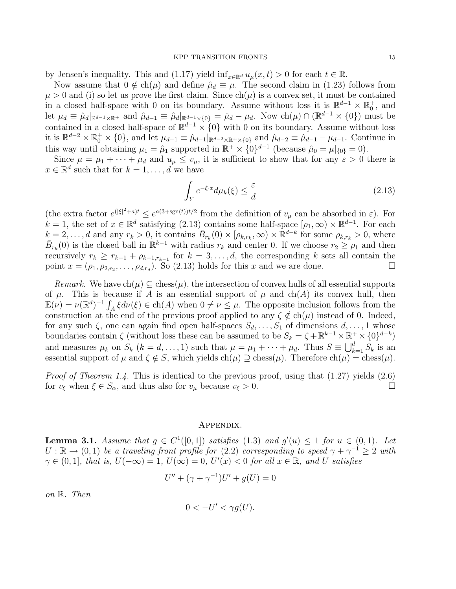#### KPP TRANSITION FRONTS 15

by Jensen's inequality. This and (1.17) yield  $\inf_{x \in \mathbb{R}^d} u_\mu(x, t) > 0$  for each  $t \in \mathbb{R}$ .

Now assume that  $0 \notin ch(\mu)$  and define  $\hat{\mu}_d \equiv \mu$ . The second claim in (1.23) follows from  $\mu > 0$  and (i) so let us prove the first claim. Since  $ch(\mu)$  is a convex set, it must be contained in a closed half-space with 0 on its boundary. Assume without loss it is  $\mathbb{R}^{d-1} \times \mathbb{R}_0^+$ , and let  $\mu_d \equiv \hat{\mu}_d |_{\mathbb{R}^{d-1}\times\mathbb{R}^+}$  and  $\hat{\mu}_{d-1} \equiv \hat{\mu}_d |_{\mathbb{R}^{d-1}\times\{0\}} = \hat{\mu}_d - \mu_d$ . Now  $\text{ch}(\mu) \cap (\mathbb{R}^{d-1}\times\{0\})$  must be contained in a closed half-space of  $\mathbb{R}^{d-1} \times \{0\}$  with 0 on its boundary. Assume without loss it is  $\mathbb{R}^{d-2} \times \mathbb{R}_0^+ \times \{0\}$ , and let  $\mu_{d-1} \equiv \hat{\mu}_{d-1}|_{\mathbb{R}^{d-2} \times \mathbb{R}^+ \times \{0\}}$  and  $\hat{\mu}_{d-2} \equiv \hat{\mu}_{d-1} - \mu_{d-1}$ . Continue in this way until obtaining  $\mu_1 = \hat{\mu}_1$  supported in  $\mathbb{R}^+ \times \{0\}^{d-1}$  (because  $\hat{\mu}_0 = \mu|_{\{0\}} = 0$ ).

Since  $\mu = \mu_1 + \cdots + \mu_d$  and  $u_{\mu} \le v_{\mu}$ , it is sufficient to show that for any  $\varepsilon > 0$  there is  $x \in \mathbb{R}^d$  such that for  $k = 1, \ldots, d$  we have

$$
\int_{Y} e^{-\xi \cdot x} d\mu_k(\xi) \le \frac{\varepsilon}{d} \tag{2.13}
$$

(the extra factor  $e^{(|\xi|^2 + a)t} \leq e^{a(3 + \text{sgn}(t))t/2}$  from the definition of  $v_\mu$  can be absorbed in  $\varepsilon$ ). For  $k = 1$ , the set of  $x \in \mathbb{R}^d$  satisfying (2.13) contains some half-space  $[\rho_1, \infty) \times \mathbb{R}^{d-1}$ . For each  $k = 2, \ldots, d$  and any  $r_k > 0$ , it contains  $\overline{B}_{r_k}(0) \times [\rho_{k,r_k}, \infty) \times \mathbb{R}^{d-k}$  for some  $\rho_{k,r_k} > 0$ , where  $\bar{B}_{r_k}(0)$  is the closed ball in  $\mathbb{R}^{k-1}$  with radius  $r_k$  and center 0. If we choose  $r_2 \ge \rho_1$  and then recursively  $r_k \geq r_{k-1} + \rho_{k-1,r_{k-1}}$  for  $k = 3, \ldots, d$ , the corresponding k sets all contain the point  $x = (\rho_1, \rho_{2,r_2}, \dots, \rho_{d,r_d})$ . So (2.13) holds for this x and we are done.

Remark. We have  $ch(\mu) \subseteq chess(\mu)$ , the intersection of convex hulls of all essential supports of  $\mu$ . This is because if A is an essential support of  $\mu$  and ch(A) its convex hull, then  $\mathbb{E}(\nu) = \nu(\mathbb{R}^d)^{-1} \int_A \xi d\nu(\xi) \in ch(A)$  when  $0 \neq \nu \leq \mu$ . The opposite inclusion follows from the construction at the end of the previous proof applied to any  $\zeta \notin ch(\mu)$  instead of 0. Indeed, for any such  $\zeta$ , one can again find open half-spaces  $S_d, \ldots, S_1$  of dimensions  $d, \ldots, 1$  whose boundaries contain  $\zeta$  (without loss these can be assumed to be  $S_k = \zeta + \mathbb{R}^{k-1} \times \mathbb{R}^+ \times \{0\}^{d-k}$ ) and measures  $\mu_k$  on  $S_k$   $(k = d, \ldots, 1)$  such that  $\mu = \mu_1 + \cdots + \mu_d$ . Thus  $S \equiv \bigcup_{k=1}^d S_k$  is an essential support of  $\mu$  and  $\zeta \notin S$ , which yields  $ch(\mu) \supseteq chess(\mu)$ . Therefore  $ch(\mu) = chess(\mu)$ .

*Proof of Theorem 1.4.* This is identical to the previous proof, using that  $(1.27)$  yields  $(2.6)$ for  $v_{\xi}$  when  $\xi \in S_{\alpha}$ , and thus also for  $v_{\mu}$  because  $v_{\xi} > 0$ .

## Appendix.

**Lemma 3.1.** Assume that  $g \in C^1([0,1])$  satisfies (1.3) and  $g'(u) \leq 1$  for  $u \in (0,1)$ . Let  $U: \mathbb{R} \to (0,1)$  be a traveling front profile for  $(2.2)$  corresponding to speed  $\gamma + \gamma^{-1} \geq 2$  with  $\gamma \in (0,1]$ , that is,  $U(-\infty) = 1$ ,  $U(\infty) = 0$ ,  $U'(x) < 0$  for all  $x \in \mathbb{R}$ , and U satisfies

$$
U'' + (\gamma + \gamma^{-1})U' + g(U) = 0
$$

on R. Then

$$
0 < -U' < \gamma g(U).
$$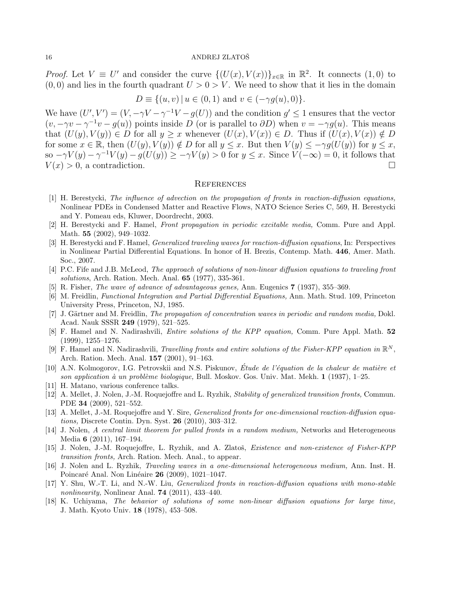*Proof.* Let  $V \equiv U'$  and consider the curve  $\{(U(x), V(x))\}_{x \in \mathbb{R}}$  in  $\mathbb{R}^2$ . It connects  $(1,0)$  to  $(0, 0)$  and lies in the fourth quadrant  $U > 0 > V$ . We need to show that it lies in the domain

$$
D \equiv \{(u, v) \mid u \in (0, 1) \text{ and } v \in (-\gamma g(u), 0)\}.
$$

We have  $(U', V') = (V, -\gamma V - \gamma^{-1} V - g(U))$  and the condition  $g' \leq 1$  ensures that the vector  $(v, -\gamma v - \gamma^{-1}v - g(u))$  points inside D (or is parallel to  $\partial D$ ) when  $v = -\gamma g(u)$ . This means that  $(U(y), V(y)) \in D$  for all  $y \geq x$  whenever  $(U(x), V(x)) \in D$ . Thus if  $(U(x), V(x)) \notin D$ for some  $x \in \mathbb{R}$ , then  $(U(y), V(y)) \notin D$  for all  $y \leq x$ . But then  $V(y) \leq -\gamma g(U(y))$  for  $y \leq x$ , so  $-\gamma V(y) - \gamma^{-1} V(y) - g(U(y)) \ge -\gamma V(y) > 0$  for  $y \le x$ . Since  $V(-\infty) = 0$ , it follows that  $V(x) > 0$ , a contradiction.

## **REFERENCES**

- [1] H. Berestycki, The influence of advection on the propagation of fronts in reaction-diffusion equations, Nonlinear PDEs in Condensed Matter and Reactive Flows, NATO Science Series C, 569, H. Berestycki and Y. Pomeau eds, Kluwer, Doordrecht, 2003.
- [2] H. Berestycki and F. Hamel, Front propagation in periodic excitable media, Comm. Pure and Appl. Math. 55 (2002), 949–1032.
- [3] H. Berestycki and F. Hamel, Generalized traveling waves for reaction-diffusion equations, In: Perspectives in Nonlinear Partial Differential Equations. In honor of H. Brezis, Contemp. Math. 446, Amer. Math. Soc., 2007.
- [4] P.C. Fife and J.B. McLeod, The approach of solutions of non-linear diffusion equations to traveling front solutions, Arch. Ration. Mech. Anal. **65** (1977), 335-361.
- [5] R. Fisher, The wave of advance of advantageous genes, Ann. Eugenics 7 (1937), 355–369.
- [6] M. Freidlin, Functional Integration and Partial Differential Equations, Ann. Math. Stud. 109, Princeton University Press, Princeton, NJ, 1985.
- [7] J. Gärtner and M. Freidlin, *The propagation of concentration waves in periodic and random media*, Dokl. Acad. Nauk SSSR 249 (1979), 521–525.
- [8] F. Hamel and N. Nadirashvili, Entire solutions of the KPP equation, Comm. Pure Appl. Math. 52 (1999), 1255–1276.
- [9] F. Hamel and N. Nadirashvili, Travelling fronts and entire solutions of the Fisher-KPP equation in  $\mathbb{R}^N$ , Arch. Ration. Mech. Anal. 157 (2001), 91–163.
- [10] A.N. Kolmogorov, I.G. Petrovskii and N.S. Piskunov, Étude de l'équation de la chaleur de matière et son application à un problème biologique, Bull. Moskov. Gos. Univ. Mat. Mekh.  $1$  (1937), 1–25.
- [11] H. Matano, various conference talks.
- [12] A. Mellet, J. Nolen, J.-M. Roquejoffre and L. Ryzhik, Stability of generalized transition fronts, Commun. PDE 34 (2009), 521–552.
- [13] A. Mellet, J.-M. Roquejoffre and Y. Sire, Generalized fronts for one-dimensional reaction-diffusion equations, Discrete Contin. Dyn. Syst. 26 (2010), 303–312.
- [14] J. Nolen, A central limit theorem for pulled fronts in a random medium, Networks and Heterogeneous Media 6 (2011), 167–194.
- [15] J. Nolen, J.-M. Roquejoffre, L. Ryzhik, and A. Zlatoš, Existence and non-existence of Fisher-KPP transition fronts, Arch. Ration. Mech. Anal., to appear.
- [16] J. Nolen and L. Ryzhik, Traveling waves in a one-dimensional heterogeneous medium, Ann. Inst. H. Poincaré Anal. Non Linéaire **26** (2009), 1021–1047.
- [17] Y. Shu, W.-T. Li, and N.-W. Liu, Generalized fronts in reaction-diffusion equations with mono-stable nonlinearity, Nonlinear Anal. **74** (2011), 433-440.
- [18] K. Uchiyama, The behavior of solutions of some non-linear diffusion equations for large time, J. Math. Kyoto Univ. 18 (1978), 453–508.